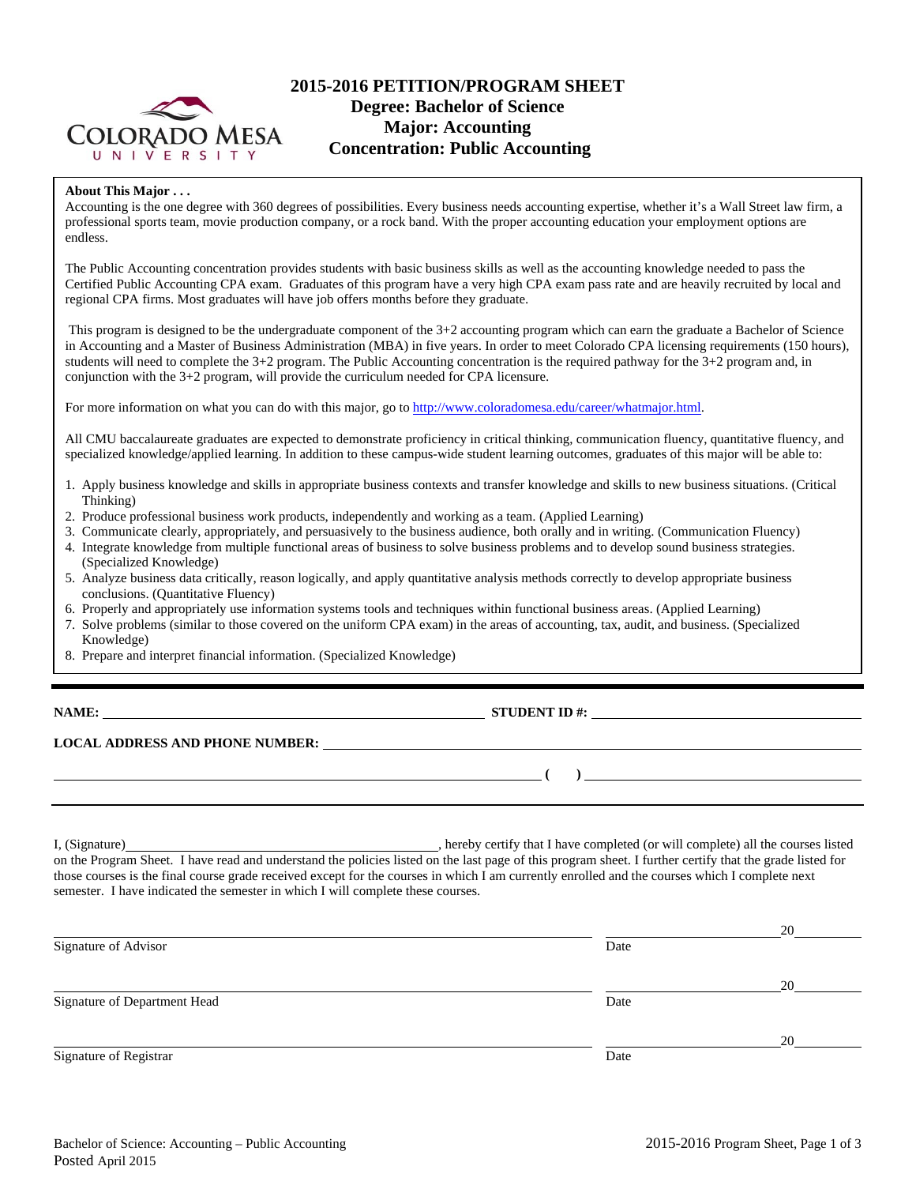

# **2015-2016 PETITION/PROGRAM SHEET Degree: Bachelor of Science Major: Accounting Concentration: Public Accounting**

### **About This Major . . .**

Accounting is the one degree with 360 degrees of possibilities. Every business needs accounting expertise, whether it's a Wall Street law firm, a professional sports team, movie production company, or a rock band. With the proper accounting education your employment options are endless.

The Public Accounting concentration provides students with basic business skills as well as the accounting knowledge needed to pass the Certified Public Accounting CPA exam. Graduates of this program have a very high CPA exam pass rate and are heavily recruited by local and regional CPA firms. Most graduates will have job offers months before they graduate.

 This program is designed to be the undergraduate component of the 3+2 accounting program which can earn the graduate a Bachelor of Science in Accounting and a Master of Business Administration (MBA) in five years. In order to meet Colorado CPA licensing requirements (150 hours), students will need to complete the 3+2 program. The Public Accounting concentration is the required pathway for the 3+2 program and, in conjunction with the 3+2 program, will provide the curriculum needed for CPA licensure.

For more information on what you can do with this major, go to http://www.coloradomesa.edu/career/whatmajor.html.

All CMU baccalaureate graduates are expected to demonstrate proficiency in critical thinking, communication fluency, quantitative fluency, and specialized knowledge/applied learning. In addition to these campus-wide student learning outcomes, graduates of this major will be able to:

- 1. Apply business knowledge and skills in appropriate business contexts and transfer knowledge and skills to new business situations. (Critical Thinking)
- 2. Produce professional business work products, independently and working as a team. (Applied Learning)
- 3. Communicate clearly, appropriately, and persuasively to the business audience, both orally and in writing. (Communication Fluency)
- 4. Integrate knowledge from multiple functional areas of business to solve business problems and to develop sound business strategies. (Specialized Knowledge)
- 5. Analyze business data critically, reason logically, and apply quantitative analysis methods correctly to develop appropriate business conclusions. (Quantitative Fluency)
- 6. Properly and appropriately use information systems tools and techniques within functional business areas. (Applied Learning)
- 7. Solve problems (similar to those covered on the uniform CPA exam) in the areas of accounting, tax, audit, and business. (Specialized Knowledge)
- 8. Prepare and interpret financial information. (Specialized Knowledge)

**NAME: STUDENT ID #: STUDENT ID #: STUDENT ID #: STUDENT ID #: STUDENT ID #: STUDENT ID #: STUDENT ID #: STUDENT ID #: STUDENT ID #: STUDENT ID #: STUDENT ID #: STUDENT ID #: STUDENT ID #: STUDE** 

 **( )** 

# **LOCAL ADDRESS AND PHONE NUMBER:**

I, (Signature) , hereby certify that I have completed (or will complete) all the courses listed on the Program Sheet. I have read and understand the policies listed on the last page of this program sheet. I further certify that the grade listed for those courses is the final course grade received except for the courses in which I am currently enrolled and the courses which I complete next semester. I have indicated the semester in which I will complete these courses.

|                              |      | 20 |
|------------------------------|------|----|
| Signature of Advisor         | Date |    |
|                              |      | 20 |
| Signature of Department Head | Date |    |
|                              |      | 20 |
| Signature of Registrar       | Date |    |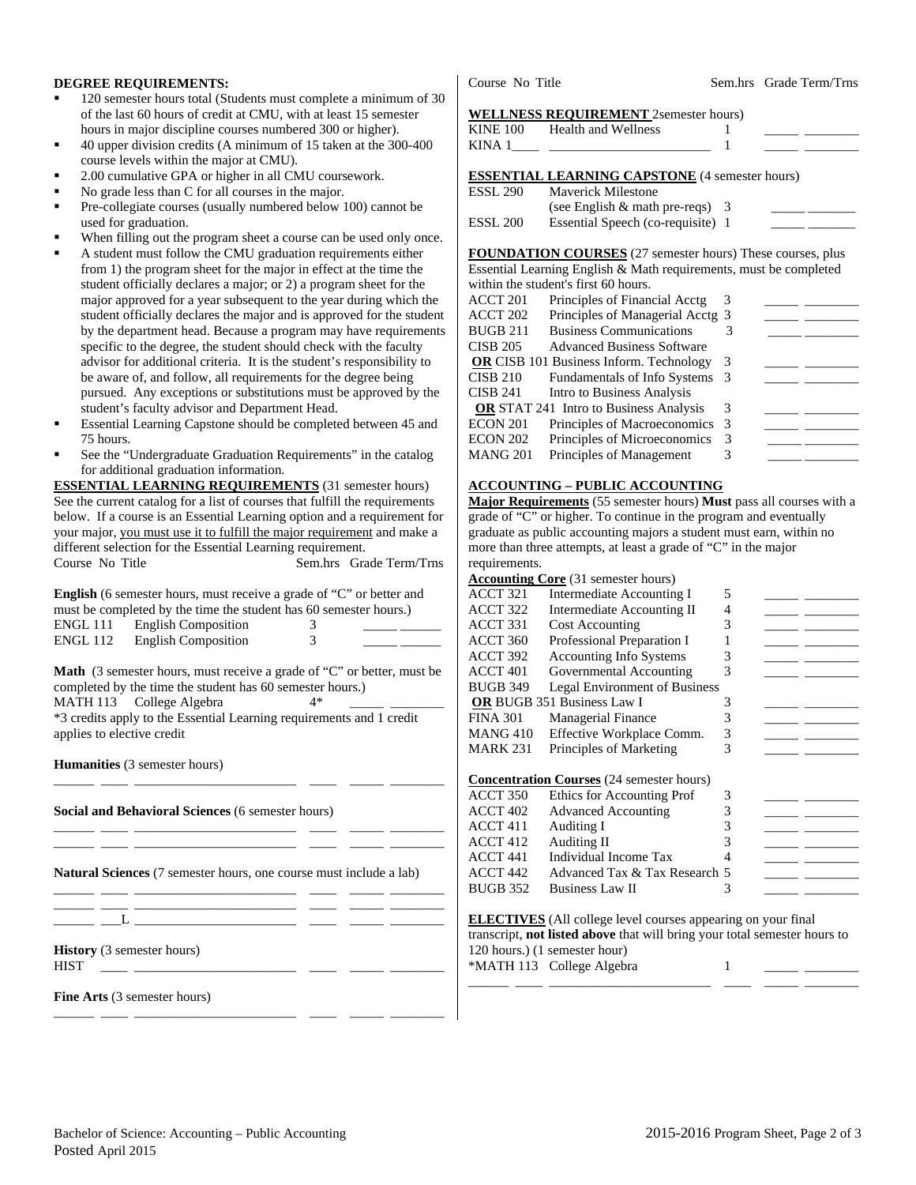### **DEGREE REQUIREMENTS:**

- 120 semester hours total (Students must complete a minimum of 30 of the last 60 hours of credit at CMU, with at least 15 semester hours in major discipline courses numbered 300 or higher).
- 40 upper division credits (A minimum of 15 taken at the 300-400 course levels within the major at CMU).
- 2.00 cumulative GPA or higher in all CMU coursework.
- No grade less than C for all courses in the major.
- Pre-collegiate courses (usually numbered below 100) cannot be used for graduation.
- When filling out the program sheet a course can be used only once.
- A student must follow the CMU graduation requirements either from 1) the program sheet for the major in effect at the time the student officially declares a major; or 2) a program sheet for the major approved for a year subsequent to the year during which the student officially declares the major and is approved for the student by the department head. Because a program may have requirements specific to the degree, the student should check with the faculty advisor for additional criteria. It is the student's responsibility to be aware of, and follow, all requirements for the degree being pursued. Any exceptions or substitutions must be approved by the student's faculty advisor and Department Head.
- Essential Learning Capstone should be completed between 45 and 75 hours.
- See the "Undergraduate Graduation Requirements" in the catalog for additional graduation information.

**ESSENTIAL LEARNING REQUIREMENTS** (31 semester hours) See the current catalog for a list of courses that fulfill the requirements below. If a course is an Essential Learning option and a requirement for your major, you must use it to fulfill the major requirement and make a different selection for the Essential Learning requirement. Course No Title Sem.hrs Grade Term/Trns

**English** (6 semester hours, must receive a grade of "C" or better and must be completed by the time the student has 60 semester hours.) ENGL 111 English Composition 3

| ENGL 112 English Composition |  |
|------------------------------|--|
|                              |  |

**Math** (3 semester hours, must receive a grade of "C" or better, must be completed by the time the student has 60 semester hours.) MATH 113 College Algebra 4\* \*3 credits apply to the Essential Learning requirements and 1 credit applies to elective credit

\_\_\_\_\_\_ \_\_\_\_ \_\_\_\_\_\_\_\_\_\_\_\_\_\_\_\_\_\_\_\_\_\_\_\_ \_\_\_\_ \_\_\_\_\_ \_\_\_\_\_\_\_\_

\_\_\_\_\_\_ \_\_\_\_ \_\_\_\_\_\_\_\_\_\_\_\_\_\_\_\_\_\_\_\_\_\_\_\_ \_\_\_\_ \_\_\_\_\_ \_\_\_\_\_\_\_\_ \_\_\_\_\_\_ \_\_\_\_ \_\_\_\_\_\_\_\_\_\_\_\_\_\_\_\_\_\_\_\_\_\_\_\_ \_\_\_\_ \_\_\_\_\_ \_\_\_\_\_\_\_\_

\_\_\_\_\_\_ \_\_\_\_ \_\_\_\_\_\_\_\_\_\_\_\_\_\_\_\_\_\_\_\_\_\_\_\_ \_\_\_\_ \_\_\_\_\_ \_\_\_\_\_\_\_\_

\_\_\_\_\_\_ \_\_\_\_ \_\_\_\_\_\_\_\_\_\_\_\_\_\_\_\_\_\_\_\_\_\_\_\_ \_\_\_\_ \_\_\_\_\_ \_\_\_\_\_\_\_\_

**Humanities** (3 semester hours)

**Social and Behavioral Sciences** (6 semester hours)

**Natural Sciences** (7 semester hours, one course must include a lab)

\_\_\_\_\_\_ \_\_\_\_ \_\_\_\_\_\_\_\_\_\_\_\_\_\_\_\_\_\_\_\_\_\_\_\_ \_\_\_\_ \_\_\_\_\_ \_\_\_\_\_\_\_\_  $\_\_$   $\_\_$ 

**History** (3 semester hours)

 $HIST \tightharpoonup$ 

**Fine Arts** (3 semester hours)

Course No Title Sem.hrs Grade Term/Trns

#### **WELLNESS REQUIREMENT** 2semester hours)

| KINE 100 | Health and Wellness                                                         |  |  |
|----------|-----------------------------------------------------------------------------|--|--|
|          | <b>ESSENTIAL LEARNING CAPSTONE</b> (4 semester hours)<br>P(01, 200, M, 11M) |  |  |

| ESSL 290 | <b>Maverick Milestone</b>          |  |
|----------|------------------------------------|--|
|          | (see English $\&$ math pre-reqs) 3 |  |
| ESSL 200 | Essential Speech (co-requisite) 1  |  |
|          |                                    |  |

**FOUNDATION COURSES** (27 semester hours) These courses, plus Essential Learning English & Math requirements, must be completed within the student's first 60 hours.

| ACCT 201        | Principles of Financial Acctg                  | 3   |  |
|-----------------|------------------------------------------------|-----|--|
| ACCT 202        | Principles of Managerial Acctg 3               |     |  |
| <b>BUGB 211</b> | <b>Business Communications</b>                 | 3   |  |
| <b>CISB 205</b> | <b>Advanced Business Software</b>              |     |  |
|                 | <b>OR</b> CISB 101 Business Inform. Technology | 3   |  |
| <b>CISB 210</b> | Fundamentals of Info Systems                   | - 3 |  |
| <b>CISB 241</b> | Intro to Business Analysis                     |     |  |
|                 | <b>OR</b> STAT 241 Intro to Business Analysis  |     |  |
| ECON 201        | Principles of Macroeconomics                   | -3  |  |
| ECON 202        | Principles of Microeconomics                   | 3   |  |
| MANG 201        | Principles of Management                       |     |  |
|                 |                                                |     |  |

### **ACCOUNTING – PUBLIC ACCOUNTING**

**Major Requirements** (55 semester hours) **Must** pass all courses with a grade of "C" or higher. To continue in the program and eventually graduate as public accounting majors a student must earn, within no more than three attempts, at least a grade of "C" in the major requirements.

|                     | <b>Accounting Core</b> (31 semester hours)       |   |  |
|---------------------|--------------------------------------------------|---|--|
| ACCT 321            | Intermediate Accounting I                        | 5 |  |
| ACCT 322            | <b>Intermediate Accounting II</b>                | 4 |  |
| ACCT 331            | <b>Cost Accounting</b>                           | 3 |  |
| ACCT 360            | Professional Preparation I                       |   |  |
| ACCT 392            | <b>Accounting Info Systems</b>                   | 3 |  |
| $ACCT$ 401          | Governmental Accounting                          | 3 |  |
| <b>BUGB 349</b>     | <b>Legal Environment of Business</b>             |   |  |
|                     | OR BUGB 351 Business Law I                       | 3 |  |
| <b>FINA 301</b>     | <b>Managerial Finance</b>                        | 3 |  |
| <b>MANG410</b>      | Effective Workplace Comm.                        | 3 |  |
| <b>MARK 231</b>     | Principles of Marketing                          | 3 |  |
|                     |                                                  |   |  |
|                     | <b>Concentration Courses</b> (24 semester hours) |   |  |
| ACCT 350            | Ethics for Accounting Prof                       | 3 |  |
| ACCT <sub>402</sub> | <b>Advanced Accounting</b>                       | 3 |  |
| ACCT 411            | Auditing I                                       | 3 |  |
| ACCT 412            | Auditing II                                      | 3 |  |
| ACCT <sub>441</sub> | Individual Income Tax                            |   |  |
| ACCT 442            | Advanced Tax & Tax Research 5                    |   |  |
| <b>BUGB 352</b>     | <b>Business Law II</b>                           | 3 |  |
|                     |                                                  |   |  |

**ELECTIVES** (All college level courses appearing on your final transcript, **not listed above** that will bring your total semester hours to 120 hours.) (1 semester hour) \*MATH 113 College Algebra 1 \_\_\_\_\_\_ \_\_\_\_ \_\_\_\_\_\_\_\_\_\_\_\_\_\_\_\_\_\_\_\_\_\_\_\_ \_\_\_\_ \_\_\_\_\_ \_\_\_\_\_\_\_\_